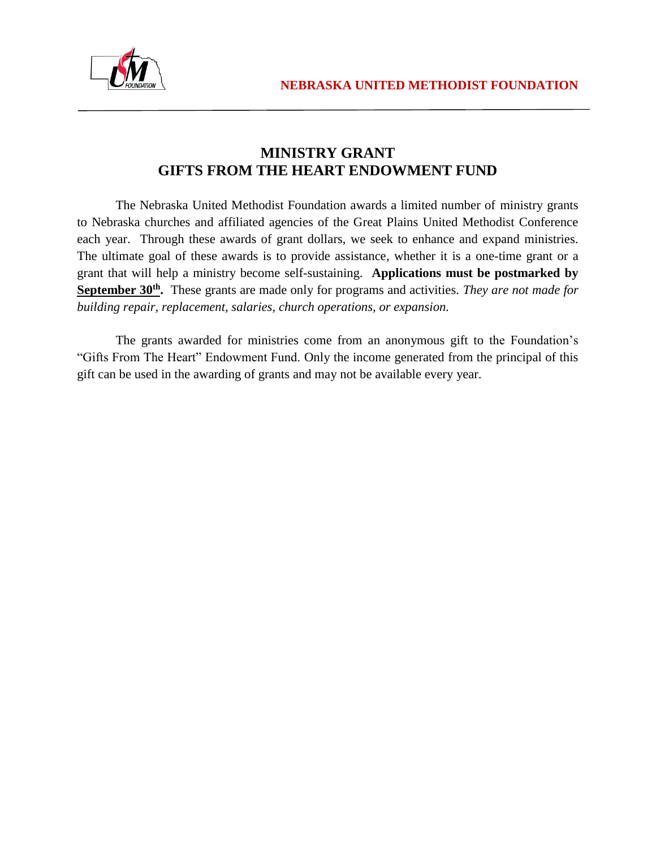

### **MINISTRY GRANT GIFTS FROM THE HEART ENDOWMENT FUND**

The Nebraska United Methodist Foundation awards a limited number of ministry grants to Nebraska churches and affiliated agencies of the Great Plains United Methodist Conference each year. Through these awards of grant dollars, we seek to enhance and expand ministries. The ultimate goal of these awards is to provide assistance, whether it is a one-time grant or a grant that will help a ministry become self-sustaining. **Applications must be postmarked by September 30th.** These grants are made only for programs and activities. *They are not made for building repair, replacement, salaries, church operations, or expansion.* 

The grants awarded for ministries come from an anonymous gift to the Foundation's "Gifts From The Heart" Endowment Fund. Only the income generated from the principal of this gift can be used in the awarding of grants and may not be available every year.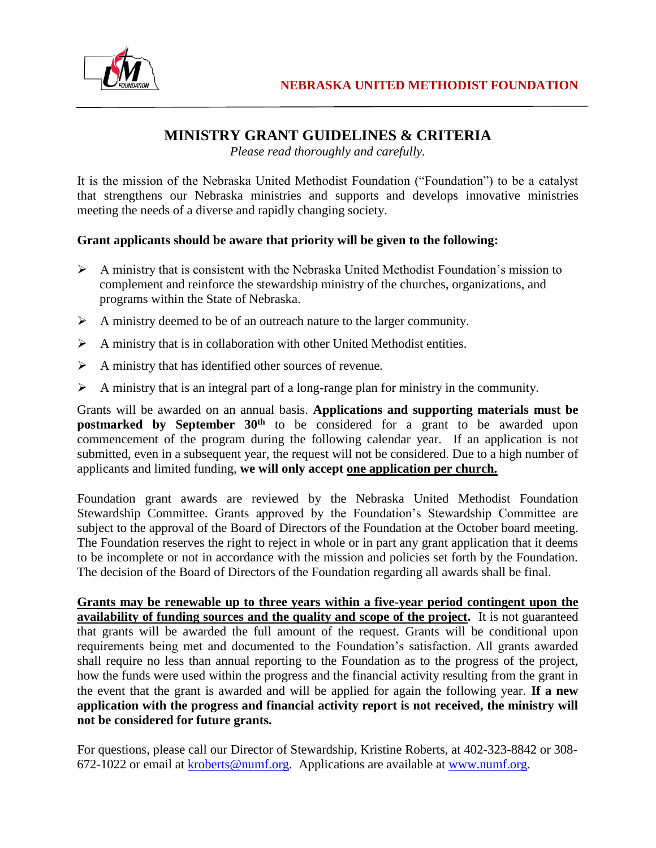

## **MINISTRY GRANT GUIDELINES & CRITERIA**

*Please read thoroughly and carefully.*

It is the mission of the Nebraska United Methodist Foundation ("Foundation") to be a catalyst that strengthens our Nebraska ministries and supports and develops innovative ministries meeting the needs of a diverse and rapidly changing society.

#### **Grant applicants should be aware that priority will be given to the following:**

- $\triangleright$  A ministry that is consistent with the Nebraska United Methodist Foundation's mission to complement and reinforce the stewardship ministry of the churches, organizations, and programs within the State of Nebraska.
- $\triangleright$  A ministry deemed to be of an outreach nature to the larger community.
- $\triangleright$  A ministry that is in collaboration with other United Methodist entities.
- $\triangleright$  A ministry that has identified other sources of revenue.
- $\triangleright$  A ministry that is an integral part of a long-range plan for ministry in the community.

Grants will be awarded on an annual basis. **Applications and supporting materials must be postmarked by September 30<sup>th</sup>** to be considered for a grant to be awarded upon commencement of the program during the following calendar year. If an application is not submitted, even in a subsequent year, the request will not be considered. Due to a high number of applicants and limited funding, **we will only accept one application per church.** 

Foundation grant awards are reviewed by the Nebraska United Methodist Foundation Stewardship Committee. Grants approved by the Foundation's Stewardship Committee are subject to the approval of the Board of Directors of the Foundation at the October board meeting. The Foundation reserves the right to reject in whole or in part any grant application that it deems to be incomplete or not in accordance with the mission and policies set forth by the Foundation. The decision of the Board of Directors of the Foundation regarding all awards shall be final.

**Grants may be renewable up to three years within a five-year period contingent upon the availability of funding sources and the quality and scope of the project.** It is not guaranteed that grants will be awarded the full amount of the request. Grants will be conditional upon requirements being met and documented to the Foundation's satisfaction. All grants awarded shall require no less than annual reporting to the Foundation as to the progress of the project, how the funds were used within the progress and the financial activity resulting from the grant in the event that the grant is awarded and will be applied for again the following year. **If a new application with the progress and financial activity report is not received, the ministry will not be considered for future grants.**

For questions, please call our Director of Stewardship, Kristine Roberts, at 402-323-8842 or 308- 672-1022 or email at [kroberts@numf.org.](mailto:kroberts@numf.org) Applications are available at [www.numf.org.](http://www.numf.org/)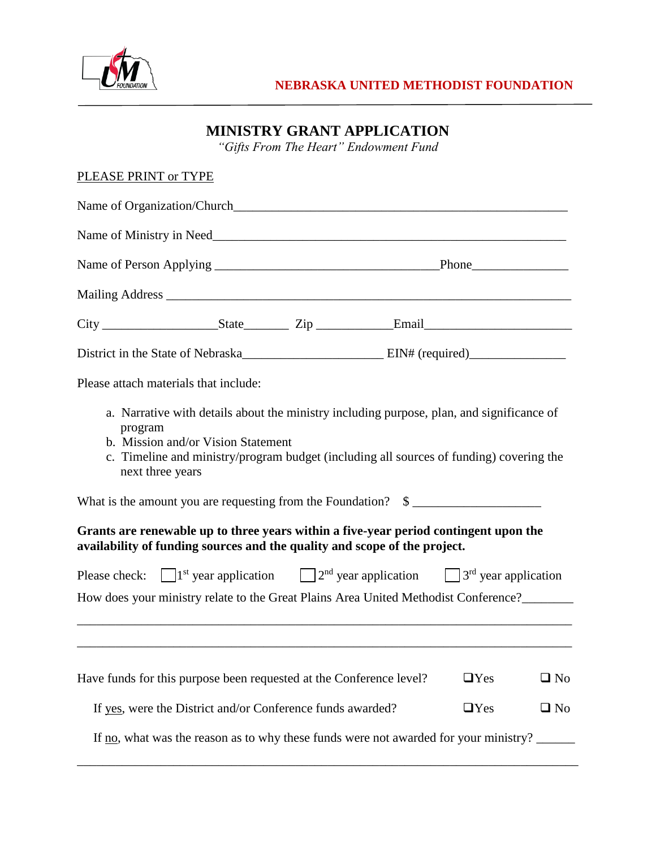

# **MINISTRY GRANT APPLICATION**

*"Gifts From The Heart" Endowment Fund*

#### PLEASE PRINT or TYPE

| Please attach materials that include:                                                                                                                                                                                                                                                                                                                                                                              |            |              |  |  |
|--------------------------------------------------------------------------------------------------------------------------------------------------------------------------------------------------------------------------------------------------------------------------------------------------------------------------------------------------------------------------------------------------------------------|------------|--------------|--|--|
| a. Narrative with details about the ministry including purpose, plan, and significance of<br>program<br>b. Mission and/or Vision Statement<br>c. Timeline and ministry/program budget (including all sources of funding) covering the<br>next three years<br>What is the amount you are requesting from the Foundation? \$<br>Grants are renewable up to three years within a five-year period contingent upon the |            |              |  |  |
| availability of funding sources and the quality and scope of the project.                                                                                                                                                                                                                                                                                                                                          |            |              |  |  |
| Please check: $\Box$ 1 <sup>st</sup> year application $\Box$ 2 <sup>nd</sup> year application $\Box$ 3 <sup>rd</sup> year application<br>How does your ministry relate to the Great Plains Area United Methodist Conference?________                                                                                                                                                                               |            |              |  |  |
|                                                                                                                                                                                                                                                                                                                                                                                                                    |            |              |  |  |
| Have funds for this purpose been requested at the Conference level?                                                                                                                                                                                                                                                                                                                                                | $\Box$ Yes | $\square$ No |  |  |
| If yes, were the District and/or Conference funds awarded?                                                                                                                                                                                                                                                                                                                                                         | $\Box$ Yes | $\square$ No |  |  |
| If no, what was the reason as to why these funds were not awarded for your ministry?                                                                                                                                                                                                                                                                                                                               |            |              |  |  |